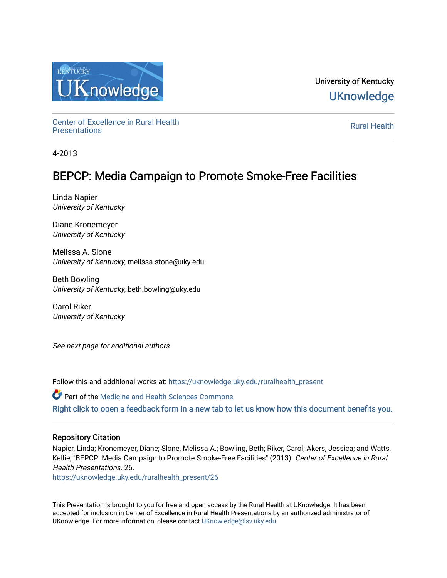

University of Kentucky **UKnowledge** 

Center of Excellence in Rural Health<br>Presentations Definer of Excellence in Kural Health<br>[Presentations](https://uknowledge.uky.edu/ruralhealth_present) **Rural Health** 

4-2013

# BEPCP: Media Campaign to Promote Smoke-Free Facilities

Linda Napier University of Kentucky

Diane Kronemeyer University of Kentucky

Melissa A. Slone University of Kentucky, melissa.stone@uky.edu

Beth Bowling University of Kentucky, beth.bowling@uky.edu

Carol Riker University of Kentucky

See next page for additional authors

Follow this and additional works at: [https://uknowledge.uky.edu/ruralhealth\\_present](https://uknowledge.uky.edu/ruralhealth_present?utm_source=uknowledge.uky.edu%2Fruralhealth_present%2F26&utm_medium=PDF&utm_campaign=PDFCoverPages) 

Part of the [Medicine and Health Sciences Commons](http://network.bepress.com/hgg/discipline/648?utm_source=uknowledge.uky.edu%2Fruralhealth_present%2F26&utm_medium=PDF&utm_campaign=PDFCoverPages)  [Right click to open a feedback form in a new tab to let us know how this document benefits you.](https://uky.az1.qualtrics.com/jfe/form/SV_9mq8fx2GnONRfz7)

#### Repository Citation

Napier, Linda; Kronemeyer, Diane; Slone, Melissa A.; Bowling, Beth; Riker, Carol; Akers, Jessica; and Watts, Kellie, "BEPCP: Media Campaign to Promote Smoke-Free Facilities" (2013). Center of Excellence in Rural Health Presentations. 26.

[https://uknowledge.uky.edu/ruralhealth\\_present/26](https://uknowledge.uky.edu/ruralhealth_present/26?utm_source=uknowledge.uky.edu%2Fruralhealth_present%2F26&utm_medium=PDF&utm_campaign=PDFCoverPages)

This Presentation is brought to you for free and open access by the Rural Health at UKnowledge. It has been accepted for inclusion in Center of Excellence in Rural Health Presentations by an authorized administrator of UKnowledge. For more information, please contact [UKnowledge@lsv.uky.edu](mailto:UKnowledge@lsv.uky.edu).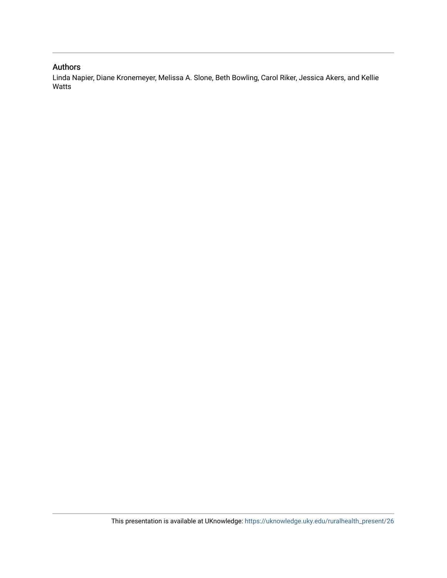### Authors

Linda Napier, Diane Kronemeyer, Melissa A. Slone, Beth Bowling, Carol Riker, Jessica Akers, and Kellie Watts